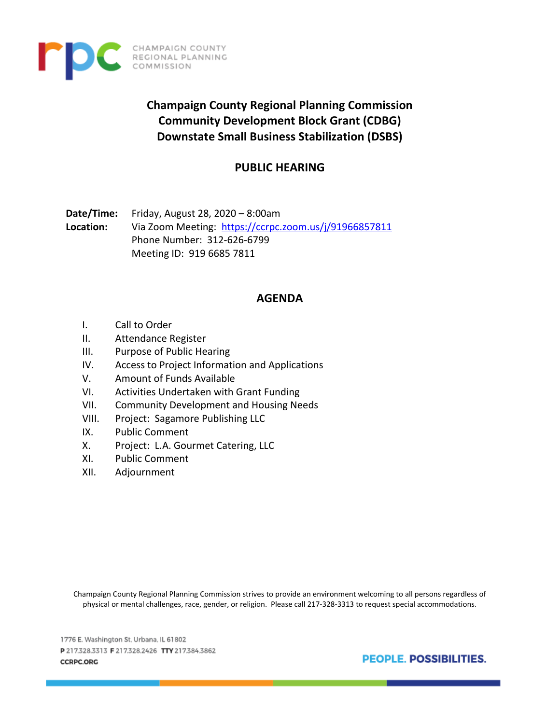

**Champaign County Regional Planning Commission Community Development Block Grant (CDBG) Downstate Small Business Stabilization (DSBS)**

# **PUBLIC HEARING**

**Date/Time:** Friday, August 28, 2020 – 8:00am **Location:** Via Zoom Meeting:<https://ccrpc.zoom.us/j/91966857811> Phone Number: 312-626-6799 Meeting ID: 919 6685 7811

# **AGENDA**

- I. Call to Order
- II. Attendance Register
- III. Purpose of Public Hearing
- IV. Access to Project Information and Applications
- V. Amount of Funds Available
- VI. Activities Undertaken with Grant Funding
- VII. Community Development and Housing Needs
- VIII. Project: Sagamore Publishing LLC

CHAMPAIGN COUNTY REGIONAL PLANNING<br>COMMISSION

- IX. Public Comment
- X. Project: L.A. Gourmet Catering, LLC
- XI. Public Comment
- XII. Adjournment

Champaign County Regional Planning Commission strives to provide an environment welcoming to all persons regardless of physical or mental challenges, race, gender, or religion. Please call 217-328-3313 to request special accommodations.

1776 E. Washington St, Urbana, IL 61802 P217.328.3313 F217.328.2426 TTY217.384.3862 **CCRPC.ORG** 

**PEOPLE, POSSIBILITIES.**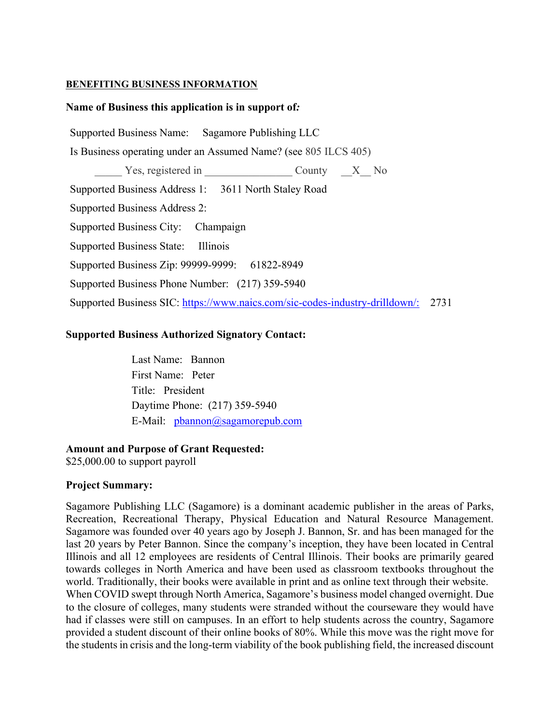#### **BENEFITING BUSINESS INFORMATION**

## **Name of Business this application is in support of***:*

Supported Business Name: Sagamore Publishing LLC Is Business operating under an Assumed Name? (see 805 ILCS 405) Yes, registered in County X No Supported Business Address 1: 3611 North Staley Road Supported Business Address 2: Supported Business City: Champaign Supported Business State: Illinois Supported Business Zip: 99999-9999: 61822-8949 Supported Business Phone Number: (217) 359-5940 Supported Business SIC: [https://www.naics.com/sic-codes-industry-drilldown/:](https://www.naics.com/sic-codes-industry-drilldown/) 2731

## **Supported Business Authorized Signatory Contact:**

Last Name: Bannon First Name: Peter Title: President Daytime Phone: (217) 359-5940 E-Mail: [pbannon@sagamorepub.com](mailto:pbannon@sagamorepub.com)

#### **Amount and Purpose of Grant Requested:**

\$25,000.00 to support payroll

#### **Project Summary:**

Sagamore Publishing LLC (Sagamore) is a dominant academic publisher in the areas of Parks, Recreation, Recreational Therapy, Physical Education and Natural Resource Management. Sagamore was founded over 40 years ago by Joseph J. Bannon, Sr. and has been managed for the last 20 years by Peter Bannon. Since the company's inception, they have been located in Central Illinois and all 12 employees are residents of Central Illinois. Their books are primarily geared towards colleges in North America and have been used as classroom textbooks throughout the world. Traditionally, their books were available in print and as online text through their website. When COVID swept through North America, Sagamore's business model changed overnight. Due to the closure of colleges, many students were stranded without the courseware they would have had if classes were still on campuses. In an effort to help students across the country, Sagamore provided a student discount of their online books of 80%. While this move was the right move for the students in crisis and the long-term viability of the book publishing field, the increased discount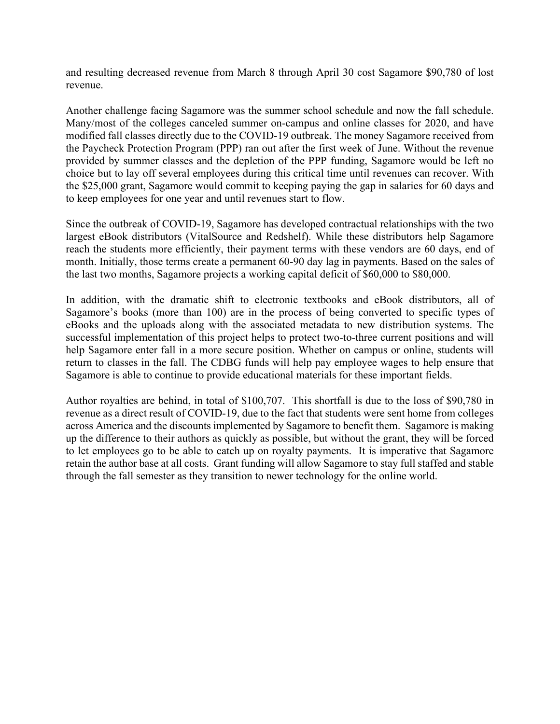and resulting decreased revenue from March 8 through April 30 cost Sagamore \$90,780 of lost revenue.

Another challenge facing Sagamore was the summer school schedule and now the fall schedule. Many/most of the colleges canceled summer on-campus and online classes for 2020, and have modified fall classes directly due to the COVID-19 outbreak. The money Sagamore received from the Paycheck Protection Program (PPP) ran out after the first week of June. Without the revenue provided by summer classes and the depletion of the PPP funding, Sagamore would be left no choice but to lay off several employees during this critical time until revenues can recover. With the \$25,000 grant, Sagamore would commit to keeping paying the gap in salaries for 60 days and to keep employees for one year and until revenues start to flow.

Since the outbreak of COVID-19, Sagamore has developed contractual relationships with the two largest eBook distributors (VitalSource and Redshelf). While these distributors help Sagamore reach the students more efficiently, their payment terms with these vendors are 60 days, end of month. Initially, those terms create a permanent 60-90 day lag in payments. Based on the sales of the last two months, Sagamore projects a working capital deficit of \$60,000 to \$80,000.

In addition, with the dramatic shift to electronic textbooks and eBook distributors, all of Sagamore's books (more than 100) are in the process of being converted to specific types of eBooks and the uploads along with the associated metadata to new distribution systems. The successful implementation of this project helps to protect two-to-three current positions and will help Sagamore enter fall in a more secure position. Whether on campus or online, students will return to classes in the fall. The CDBG funds will help pay employee wages to help ensure that Sagamore is able to continue to provide educational materials for these important fields.

Author royalties are behind, in total of \$100,707. This shortfall is due to the loss of \$90,780 in revenue as a direct result of COVID-19, due to the fact that students were sent home from colleges across America and the discounts implemented by Sagamore to benefit them. Sagamore is making up the difference to their authors as quickly as possible, but without the grant, they will be forced to let employees go to be able to catch up on royalty payments. It is imperative that Sagamore retain the author base at all costs. Grant funding will allow Sagamore to stay full staffed and stable through the fall semester as they transition to newer technology for the online world.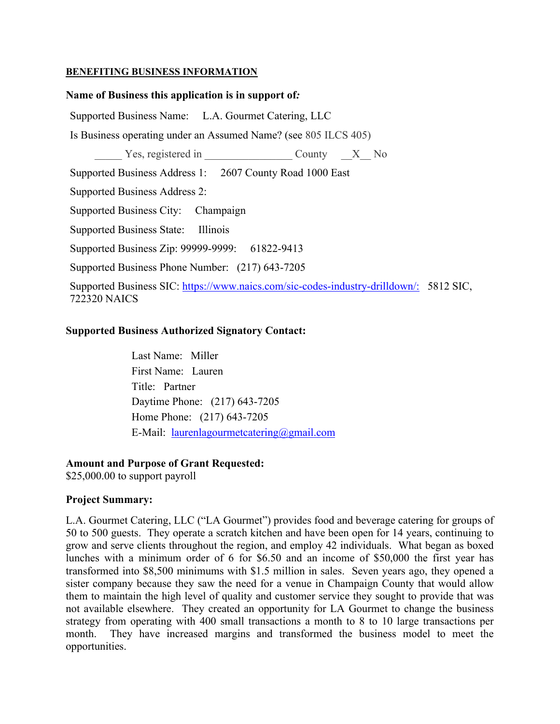## **BENEFITING BUSINESS INFORMATION**

## **Name of Business this application is in support of***:*

Supported Business Name: L.A. Gourmet Catering, LLC

Is Business operating under an Assumed Name? (see 805 ILCS 405)

Yes, registered in  $\qquad \qquad \text{Country} \qquad X \quad No$ 

Supported Business Address 1: 2607 County Road 1000 East

Supported Business Address 2:

Supported Business City: Champaign

Supported Business State: Illinois

Supported Business Zip: 99999-9999: 61822-9413

Supported Business Phone Number: (217) 643-7205

Supported Business SIC: [https://www.naics.com/sic-codes-industry-drilldown/:](https://www.naics.com/sic-codes-industry-drilldown/) 5812 SIC, 722320 NAICS

# **Supported Business Authorized Signatory Contact:**

Last Name: Miller First Name: Lauren Title: Partner Daytime Phone: (217) 643-7205 Home Phone: (217) 643-7205 E-Mail: [laurenlagourmetcatering@gmail.com](mailto:laurenlagourmetcatering@gmail.com)

# **Amount and Purpose of Grant Requested:**

\$25,000.00 to support payroll

# **Project Summary:**

L.A. Gourmet Catering, LLC ("LA Gourmet") provides food and beverage catering for groups of 50 to 500 guests. They operate a scratch kitchen and have been open for 14 years, continuing to grow and serve clients throughout the region, and employ 42 individuals. What began as boxed lunches with a minimum order of 6 for \$6.50 and an income of \$50,000 the first year has transformed into \$8,500 minimums with \$1.5 million in sales. Seven years ago, they opened a sister company because they saw the need for a venue in Champaign County that would allow them to maintain the high level of quality and customer service they sought to provide that was not available elsewhere. They created an opportunity for LA Gourmet to change the business strategy from operating with 400 small transactions a month to 8 to 10 large transactions per month. They have increased margins and transformed the business model to meet the opportunities.